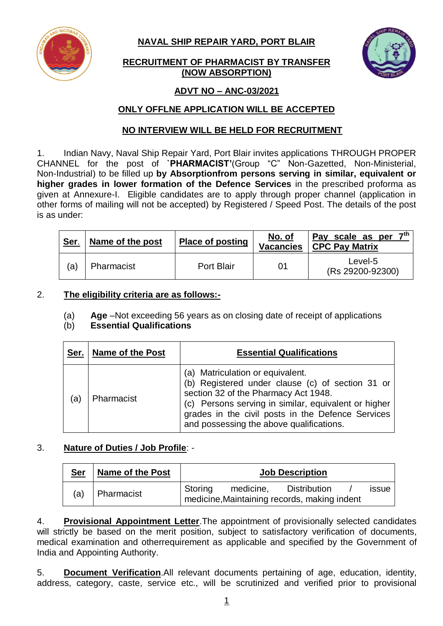

**NAVAL SHIP REPAIR YARD, PORT BLAIR**

# **RECRUITMENT OF PHARMACIST BY TRANSFER (NOW ABSORPTION)**



# **ADVT NO – ANC-03/2021**

# **ONLY OFFLNE APPLICATION WILL BE ACCEPTED**

## **NO INTERVIEW WILL BE HELD FOR RECRUITMENT**

1. Indian Navy, Naval Ship Repair Yard, Port Blair invites applications THROUGH PROPER CHANNEL for the post of **`PHARMACIST'**(Group "C" Non-Gazetted, Non-Ministerial, Non-Industrial) to be filled up **by Absorptionfrom persons serving in similar, equivalent or higher grades in lower formation of the Defence Services** in the prescribed proforma as given at Annexure-I. Eligible candidates are to apply through proper channel (application in other forms of mailing will not be accepted) by Registered / Speed Post. The details of the post is as under:

| Ser. | Name of the post | <b>Place of posting</b> | No. of<br><b>Vacancies</b> | 7 <sup>th</sup><br>Pay scale as per<br>CPC Pay Matrix |
|------|------------------|-------------------------|----------------------------|-------------------------------------------------------|
| (a)  | Pharmacist       | Port Blair<br>01        |                            | Level-5<br>(Rs 29200-92300)                           |

## 2. **The eligibility criteria are as follows:-**

(a) **Age** –Not exceeding 56 years as on closing date of receipt of applications

## (b) **Essential Qualifications**

| Ser. | <b>Name of the Post</b> | <b>Essential Qualifications</b>                                                                                                                                                                                                                                                       |
|------|-------------------------|---------------------------------------------------------------------------------------------------------------------------------------------------------------------------------------------------------------------------------------------------------------------------------------|
| ίa   | Pharmacist              | (a) Matriculation or equivalent.<br>(b) Registered under clause (c) of section 31 or<br>section 32 of the Pharmacy Act 1948.<br>(c) Persons serving in similar, equivalent or higher<br>grades in the civil posts in the Defence Services<br>and possessing the above qualifications. |

## 3. **Nature of Duties / Job Profile**: -

| <u>Ser</u> | <b>Name of the Post</b> | <b>Job Description</b> |           |                                                                     |  |              |
|------------|-------------------------|------------------------|-----------|---------------------------------------------------------------------|--|--------------|
| (a)        | Pharmacist              | Storing                | medicine, | <b>Distribution</b><br>medicine, Maintaining records, making indent |  | <b>issue</b> |

4. **Provisional Appointment Letter**.The appointment of provisionally selected candidates will strictly be based on the merit position, subject to satisfactory verification of documents, medical examination and otherrequirement as applicable and specified by the Government of India and Appointing Authority.

5. **Document Verification**.All relevant documents pertaining of age, education, identity, address, category, caste, service etc., will be scrutinized and verified prior to provisional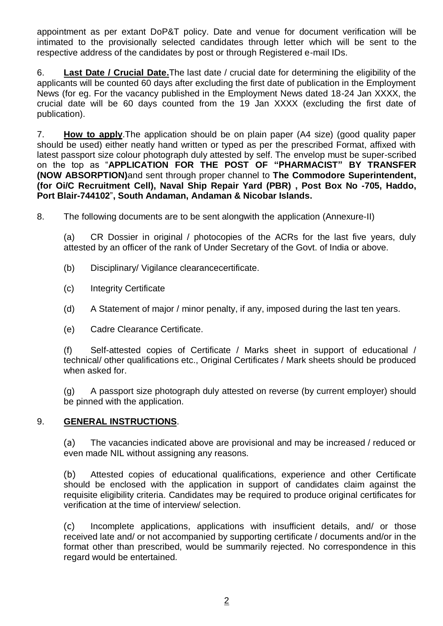appointment as per extant DoP&T policy. Date and venue for document verification will be intimated to the provisionally selected candidates through letter which will be sent to the respective address of the candidates by post or through Registered e-mail IDs.

6. **Last Date / Crucial Date.**The last date / crucial date for determining the eligibility of the applicants will be counted 60 days after excluding the first date of publication in the Employment News (for eg. For the vacancy published in the Employment News dated 18-24 Jan XXXX, the crucial date will be 60 days counted from the 19 Jan XXXX (excluding the first date of publication).

7. **How to apply**.The application should be on plain paper (A4 size) (good quality paper should be used) either neatly hand written or typed as per the prescribed Format, affixed with latest passport size colour photograph duly attested by self. The envelop must be super-scribed on the top as "**APPLICATION FOR THE POST OF "PHARMACIST" BY TRANSFER (NOW ABSORPTION)**and sent through proper channel to **The Commodore Superintendent, (for Oi/C Recruitment Cell), Naval Ship Repair Yard (PBR) , Post Box No -705, Haddo, Port Blair-744102**"**, South Andaman, Andaman & Nicobar Islands.**

8. The following documents are to be sent alongwith the application (Annexure-II)

(a) CR Dossier in original / photocopies of the ACRs for the last five years, duly attested by an officer of the rank of Under Secretary of the Govt. of India or above.

- (b) Disciplinary/ Vigilance clearancecertificate.
- (c) Integrity Certificate
- (d) A Statement of major / minor penalty, if any, imposed during the last ten years.
- (e) Cadre Clearance Certificate.

(f) Self-attested copies of Certificate / Marks sheet in support of educational / technical/ other qualifications etc., Original Certificates / Mark sheets should be produced when asked for.

(g) A passport size photograph duly attested on reverse (by current employer) should be pinned with the application.

#### 9. **GENERAL INSTRUCTIONS**.

(a) The vacancies indicated above are provisional and may be increased / reduced or even made NIL without assigning any reasons.

(b) Attested copies of educational qualifications, experience and other Certificate should be enclosed with the application in support of candidates claim against the requisite eligibility criteria. Candidates may be required to produce original certificates for verification at the time of interview/ selection.

(c) Incomplete applications, applications with insufficient details, and/ or those received late and/ or not accompanied by supporting certificate / documents and/or in the format other than prescribed, would be summarily rejected. No correspondence in this regard would be entertained.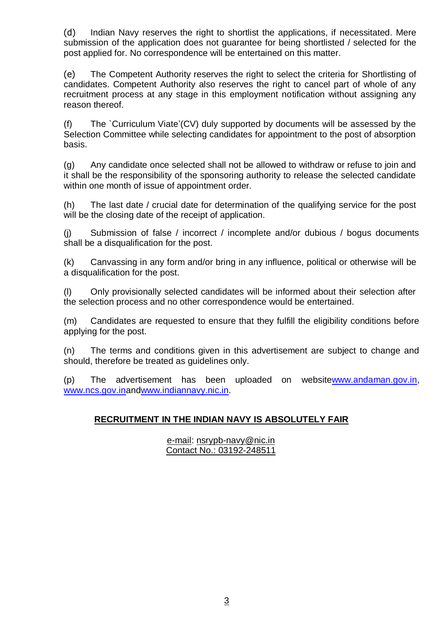(d) Indian Navy reserves the right to shortlist the applications, if necessitated. Mere submission of the application does not guarantee for being shortlisted / selected for the post applied for. No correspondence will be entertained on this matter.

(e) The Competent Authority reserves the right to select the criteria for Shortlisting of candidates. Competent Authority also reserves the right to cancel part of whole of any recruitment process at any stage in this employment notification without assigning any reason thereof.

(f) The `Curriculum Viate'(CV) duly supported by documents will be assessed by the Selection Committee while selecting candidates for appointment to the post of absorption basis.

(g) Any candidate once selected shall not be allowed to withdraw or refuse to join and it shall be the responsibility of the sponsoring authority to release the selected candidate within one month of issue of appointment order.

(h) The last date / crucial date for determination of the qualifying service for the post will be the closing date of the receipt of application.

(j) Submission of false / incorrect / incomplete and/or dubious / bogus documents shall be a disqualification for the post.

(k) Canvassing in any form and/or bring in any influence, political or otherwise will be a disqualification for the post.

(l) Only provisionally selected candidates will be informed about their selection after the selection process and no other correspondence would be entertained.

(m) Candidates are requested to ensure that they fulfill the eligibility conditions before applying for the post.

(n) The terms and conditions given in this advertisement are subject to change and should, therefore be treated as guidelines only.

(p) The advertisement has been uploaded on websit[ewww.andaman.gov.in,](http://www.andaman.gov.in/) [www.ncs.gov.ina](http://www.ncs.gov.in/)ndwww.indiannavy.nic.in.

# **RECRUITMENT IN THE INDIAN NAVY IS ABSOLUTELY FAIR**

## e-mail: [nsrypb-navy@nic.in](mailto:nsrypb-navy@nic.in) Contact No.: 03192-248511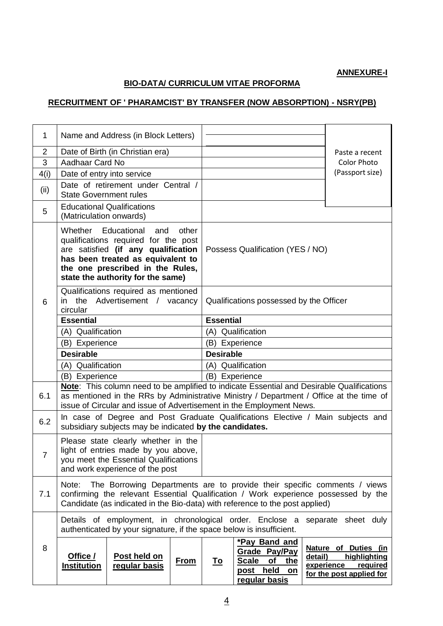## **ANNEXURE-I**

# **BIO-DATA/ CURRICULUM VITAE PROFORMA**

## **RECRUITMENT OF ' PHARAMCIST' BY TRANSFER (NOW ABSORPTION) - NSRY(PB)**

| 1              |                                                                                                                                                                                                                                                              | Name and Address (in Block Letters)                                                                                              |                  |                                  |                                                                                              |                |                                                                                            |
|----------------|--------------------------------------------------------------------------------------------------------------------------------------------------------------------------------------------------------------------------------------------------------------|----------------------------------------------------------------------------------------------------------------------------------|------------------|----------------------------------|----------------------------------------------------------------------------------------------|----------------|--------------------------------------------------------------------------------------------|
| 2              | Date of Birth (in Christian era)                                                                                                                                                                                                                             |                                                                                                                                  |                  |                                  |                                                                                              | Paste a recent |                                                                                            |
| 3              | Aadhaar Card No                                                                                                                                                                                                                                              |                                                                                                                                  |                  | <b>Color Photo</b>               |                                                                                              |                |                                                                                            |
| 4(i)           | Date of entry into service                                                                                                                                                                                                                                   |                                                                                                                                  |                  |                                  |                                                                                              |                | (Passport size)                                                                            |
| (ii)           | <b>State Government rules</b>                                                                                                                                                                                                                                | Date of retirement under Central /                                                                                               |                  |                                  |                                                                                              |                |                                                                                            |
| 5              | <b>Educational Qualifications</b><br>(Matriculation onwards)                                                                                                                                                                                                 |                                                                                                                                  |                  |                                  |                                                                                              |                |                                                                                            |
|                | Whether Educational<br>other<br>and<br>qualifications required for the post<br>are satisfied (if any qualification<br>has been treated as equivalent to<br>the one prescribed in the Rules,<br>state the authority for the same)                             |                                                                                                                                  |                  | Possess Qualification (YES / NO) |                                                                                              |                |                                                                                            |
| 6              | Qualifications required as mentioned<br>the Advertisement / vacancy<br>in.<br>circular                                                                                                                                                                       |                                                                                                                                  |                  |                                  | Qualifications possessed by the Officer                                                      |                |                                                                                            |
|                | <b>Essential</b><br>(A) Qualification                                                                                                                                                                                                                        |                                                                                                                                  |                  | <b>Essential</b>                 |                                                                                              |                |                                                                                            |
|                |                                                                                                                                                                                                                                                              |                                                                                                                                  |                  | (A) Qualification                |                                                                                              |                |                                                                                            |
|                | (B) Experience                                                                                                                                                                                                                                               |                                                                                                                                  |                  | (B) Experience                   |                                                                                              |                |                                                                                            |
|                | <b>Desirable</b>                                                                                                                                                                                                                                             |                                                                                                                                  | <b>Desirable</b> |                                  |                                                                                              |                |                                                                                            |
|                | (A) Qualification                                                                                                                                                                                                                                            |                                                                                                                                  |                  |                                  | (A) Qualification                                                                            |                |                                                                                            |
|                | (B) Experience                                                                                                                                                                                                                                               |                                                                                                                                  |                  |                                  | (B) Experience                                                                               |                |                                                                                            |
| 6.1            | Note: This column need to be amplified to indicate Essential and Desirable Qualifications<br>as mentioned in the RRs by Administrative Ministry / Department / Office at the time of<br>issue of Circular and issue of Advertisement in the Employment News. |                                                                                                                                  |                  |                                  |                                                                                              |                |                                                                                            |
| 6.2            |                                                                                                                                                                                                                                                              | subsidiary subjects may be indicated by the candidates.                                                                          |                  |                                  | In case of Degree and Post Graduate Qualifications Elective / Main subjects and              |                |                                                                                            |
| $\overline{7}$ | Please state clearly whether in the<br>light of entries made by you above,<br>you meet the Essential Qualifications<br>and work experience of the post                                                                                                       |                                                                                                                                  |                  |                                  |                                                                                              |                |                                                                                            |
| 7.1            | The Borrowing Departments are to provide their specific comments / views<br>Note:<br>confirming the relevant Essential Qualification / Work experience possessed by the<br>Candidate (as indicated in the Bio-data) with reference to the post applied)      |                                                                                                                                  |                  |                                  |                                                                                              |                |                                                                                            |
|                |                                                                                                                                                                                                                                                              | Details of employment, in chronological order. Enclose a<br>authenticated by your signature, if the space below is insufficient. |                  |                                  |                                                                                              |                | separate sheet duly                                                                        |
| 8              | Office /<br><b>Institution</b>                                                                                                                                                                                                                               | Post held on<br>regular basis                                                                                                    | <b>From</b>      | <u>To</u>                        | *Pay Band and<br>Grade Pay/Pay<br><b>Scale</b><br>of the<br>post held<br>on<br>regular basis | detail)        | Nature of Duties (in<br>highlighting<br>experience<br>required<br>for the post applied for |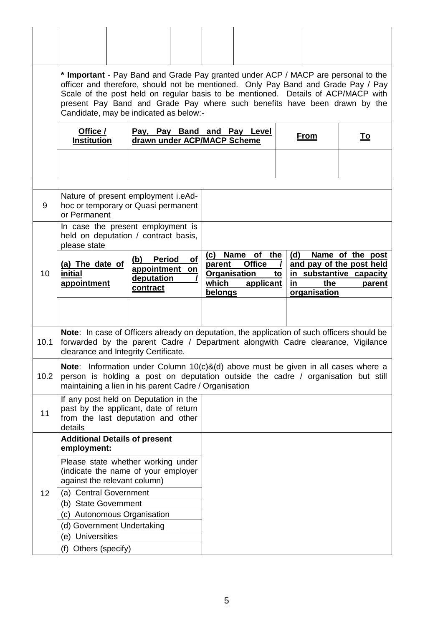|      |                                                                                                                                                                                                                                           | * Important - Pay Band and Grade Pay granted under ACP / MACP are personal to the<br>officer and therefore, should not be mentioned. Only Pay Band and Grade Pay / Pay<br>Scale of the post held on regular basis to be mentioned. Details of ACP/MACP with<br>present Pay Band and Grade Pay where such benefits have been drawn by the<br>Candidate, may be indicated as below:- |                                                            |                                                           |                  |                     |                                                                                   |
|------|-------------------------------------------------------------------------------------------------------------------------------------------------------------------------------------------------------------------------------------------|------------------------------------------------------------------------------------------------------------------------------------------------------------------------------------------------------------------------------------------------------------------------------------------------------------------------------------------------------------------------------------|------------------------------------------------------------|-----------------------------------------------------------|------------------|---------------------|-----------------------------------------------------------------------------------|
|      | Office /<br><b>Institution</b>                                                                                                                                                                                                            |                                                                                                                                                                                                                                                                                                                                                                                    | Pay, Pay Band and Pay Level<br>drawn under ACP/MACP Scheme |                                                           |                  | <b>From</b>         | <u>To</u>                                                                         |
|      |                                                                                                                                                                                                                                           |                                                                                                                                                                                                                                                                                                                                                                                    |                                                            |                                                           |                  |                     |                                                                                   |
| 9    | or Permanent                                                                                                                                                                                                                              | Nature of present employment i.eAd-<br>hoc or temporary or Quasi permanent                                                                                                                                                                                                                                                                                                         |                                                            |                                                           |                  |                     |                                                                                   |
|      | please state                                                                                                                                                                                                                              | In case the present employment is<br>held on deputation / contract basis,                                                                                                                                                                                                                                                                                                          |                                                            |                                                           |                  |                     |                                                                                   |
| 10   | (a) The date of<br>initial<br>appointment                                                                                                                                                                                                 | (b)<br><b>Period</b><br>appointment on<br>deputation<br>contract                                                                                                                                                                                                                                                                                                                   | (c)<br>of<br>parent<br>which<br>belongs                    | Name of the<br><b>Office</b><br>Organisation<br>applicant | (d)<br>to<br>in. | the<br>organisation | Name of the post<br>and pay of the post held<br>in substantive capacity<br>parent |
|      |                                                                                                                                                                                                                                           |                                                                                                                                                                                                                                                                                                                                                                                    |                                                            |                                                           |                  |                     |                                                                                   |
| 10.1 | <b>Note:</b> In case of Officers already on deputation, the application of such officers should be<br>forwarded by the parent Cadre / Department alongwith Cadre clearance, Vigilance<br>clearance and Integrity Certificate.             |                                                                                                                                                                                                                                                                                                                                                                                    |                                                            |                                                           |                  |                     |                                                                                   |
| 10.2 | <b>Note:</b> Information under Column $10(c)$ &(d) above must be given in all cases where a<br>person is holding a post on deputation outside the cadre / organisation but still<br>maintaining a lien in his parent Cadre / Organisation |                                                                                                                                                                                                                                                                                                                                                                                    |                                                            |                                                           |                  |                     |                                                                                   |
| 11   | If any post held on Deputation in the<br>past by the applicant, date of return<br>from the last deputation and other<br>details                                                                                                           |                                                                                                                                                                                                                                                                                                                                                                                    |                                                            |                                                           |                  |                     |                                                                                   |
|      | <b>Additional Details of present</b><br>employment:                                                                                                                                                                                       |                                                                                                                                                                                                                                                                                                                                                                                    |                                                            |                                                           |                  |                     |                                                                                   |
|      |                                                                                                                                                                                                                                           | Please state whether working under<br>(indicate the name of your employer<br>against the relevant column)                                                                                                                                                                                                                                                                          |                                                            |                                                           |                  |                     |                                                                                   |
| 12   | (a) Central Government                                                                                                                                                                                                                    |                                                                                                                                                                                                                                                                                                                                                                                    |                                                            |                                                           |                  |                     |                                                                                   |
|      | (b) State Government                                                                                                                                                                                                                      |                                                                                                                                                                                                                                                                                                                                                                                    |                                                            |                                                           |                  |                     |                                                                                   |
|      | (c) Autonomous Organisation                                                                                                                                                                                                               |                                                                                                                                                                                                                                                                                                                                                                                    |                                                            |                                                           |                  |                     |                                                                                   |
|      | (e) Universities                                                                                                                                                                                                                          | (d) Government Undertaking                                                                                                                                                                                                                                                                                                                                                         |                                                            |                                                           |                  |                     |                                                                                   |
|      | (f) Others (specify)                                                                                                                                                                                                                      |                                                                                                                                                                                                                                                                                                                                                                                    |                                                            |                                                           |                  |                     |                                                                                   |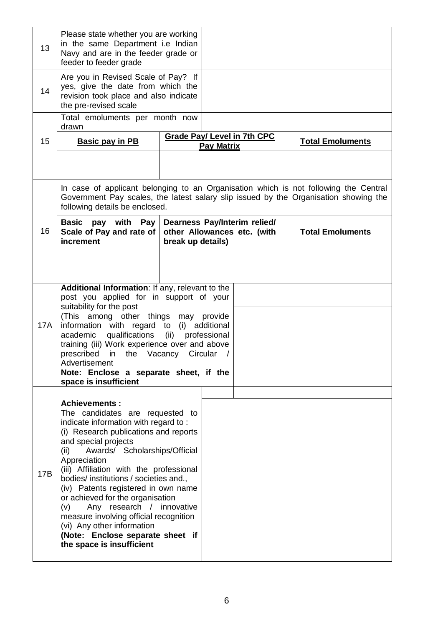| 13  | Please state whether you are working<br>in the same Department i.e Indian<br>Navy and are in the feeder grade or<br>feeder to feeder grade                                                                                                                                                                                                                                                                                                                                                                                                                             |                        |                   |                                                             |                         |  |
|-----|------------------------------------------------------------------------------------------------------------------------------------------------------------------------------------------------------------------------------------------------------------------------------------------------------------------------------------------------------------------------------------------------------------------------------------------------------------------------------------------------------------------------------------------------------------------------|------------------------|-------------------|-------------------------------------------------------------|-------------------------|--|
| 14  | Are you in Revised Scale of Pay? If<br>yes, give the date from which the<br>revision took place and also indicate<br>the pre-revised scale                                                                                                                                                                                                                                                                                                                                                                                                                             |                        |                   |                                                             |                         |  |
|     | Total emoluments per month now<br>drawn                                                                                                                                                                                                                                                                                                                                                                                                                                                                                                                                |                        |                   |                                                             |                         |  |
| 15  | <b>Basic pay in PB</b>                                                                                                                                                                                                                                                                                                                                                                                                                                                                                                                                                 |                        | <b>Pay Matrix</b> | <b>Grade Pay/ Level in 7th CPC</b>                          | <b>Total Emoluments</b> |  |
|     |                                                                                                                                                                                                                                                                                                                                                                                                                                                                                                                                                                        |                        |                   |                                                             |                         |  |
|     | In case of applicant belonging to an Organisation which is not following the Central<br>Government Pay scales, the latest salary slip issued by the Organisation showing the<br>following details be enclosed.                                                                                                                                                                                                                                                                                                                                                         |                        |                   |                                                             |                         |  |
| 16  | <b>Basic</b><br>pay with Pay<br>Scale of Pay and rate of<br>increment                                                                                                                                                                                                                                                                                                                                                                                                                                                                                                  | break up details)      |                   | Dearness Pay/Interim relied/<br>other Allowances etc. (with | <b>Total Emoluments</b> |  |
|     |                                                                                                                                                                                                                                                                                                                                                                                                                                                                                                                                                                        |                        |                   |                                                             |                         |  |
| 17A | Additional Information: If any, relevant to the<br>post you applied for in support of your<br>suitability for the post<br>(This among other things may provide<br>information with regard to<br>qualifications<br>academic<br>training (iii) Work experience over and above<br>prescribed in the Vacancy Circular<br>Advertisement<br>Note: Enclose a separate sheet, if the<br>space is insufficient                                                                                                                                                                  | (i) additional<br>(ii) | professional      |                                                             |                         |  |
| 17B | <b>Achievements:</b><br>The candidates are requested to<br>indicate information with regard to:<br>(i) Research publications and reports<br>and special projects<br>Awards/ Scholarships/Official<br>(ii)<br>Appreciation<br>(iii) Affiliation with the professional<br>bodies/ institutions / societies and.,<br>(iv) Patents registered in own name<br>or achieved for the organisation<br>Any research / innovative<br>(v)<br>measure involving official recognition<br>(vi) Any other information<br>(Note: Enclose separate sheet if<br>the space is insufficient |                        |                   |                                                             |                         |  |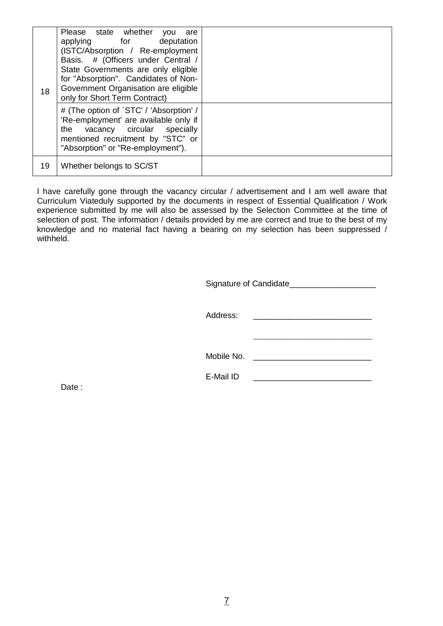| 18 | Please state whether<br><b>VOU</b><br>are<br>applying for<br>deputation<br>(ISTC/Absorption / Re-employment<br>Basis. # (Officers under Central /<br>State Governments are only eligible<br>for "Absorption". Candidates of Non-<br>Government Organisation are eligible<br>only for Short Term Contract) |  |
|----|-----------------------------------------------------------------------------------------------------------------------------------------------------------------------------------------------------------------------------------------------------------------------------------------------------------|--|
|    | # (The option of `STC' / 'Absorption' /<br>'Re-employment' are available only if<br>vacancy circular specially<br>the<br>mentioned recruitment by "STC" or<br>"Absorption" or "Re-employment").                                                                                                           |  |
| 19 | Whether belongs to SC/ST                                                                                                                                                                                                                                                                                  |  |

I have carefully gone through the vacancy circular / advertisement and I am well aware that Curriculum Viateduly supported by the documents in respect of Essential Qualification / Work experience submitted by me will also be assessed by the Selection Committee at the time of selection of post. The information / details provided by me are correct and true to the best of my knowledge and no material fact having a bearing on my selection has been suppressed / withheld.

|            | Signature of Candidate___________ |
|------------|-----------------------------------|
| Address:   |                                   |
| Mobile No. |                                   |

E-Mail ID

Date: